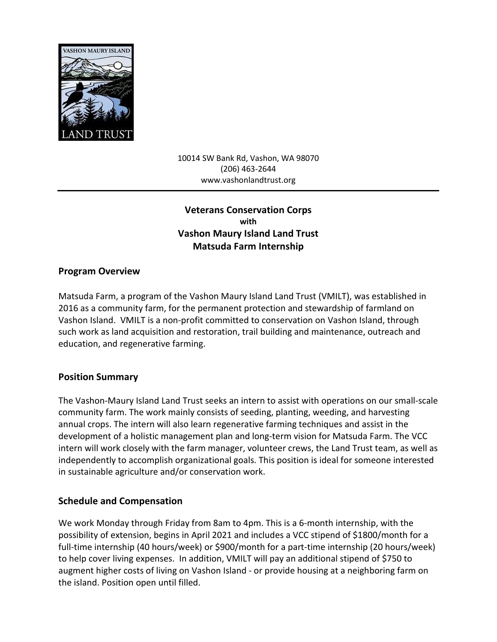

10014 SW Bank Rd, Vashon, WA 98070 (206) 463-2644 www.vashonlandtrust.org

# **Veterans Conservation Corps with Vashon Maury Island Land Trust Matsuda Farm Internship**

#### **Program Overview**

Matsuda Farm, a program of the Vashon Maury Island Land Trust (VMILT), was established in 2016 as a community farm, for the permanent protection and stewardship of farmland on Vashon Island. VMILT is a non-profit committed to conservation on Vashon Island, through such work as land acquisition and restoration, trail building and maintenance, outreach and education, and regenerative farming.

### **Position Summary**

The Vashon-Maury Island Land Trust seeks an intern to assist with operations on our small-scale community farm. The work mainly consists of seeding, planting, weeding, and harvesting annual crops. The intern will also learn regenerative farming techniques and assist in the development of a holistic management plan and long-term vision for Matsuda Farm. The VCC intern will work closely with the farm manager, volunteer crews, the Land Trust team, as well as independently to accomplish organizational goals. This position is ideal for someone interested in sustainable agriculture and/or conservation work.

### **Schedule and Compensation**

We work Monday through Friday from 8am to 4pm. This is a 6-month internship, with the possibility of extension, begins in April 2021 and includes a VCC stipend of \$1800/month for a full-time internship (40 hours/week) or \$900/month for a part-time internship (20 hours/week) to help cover living expenses. In addition, VMILT will pay an additional stipend of \$750 to augment higher costs of living on Vashon Island - or provide housing at a neighboring farm on the island. Position open until filled.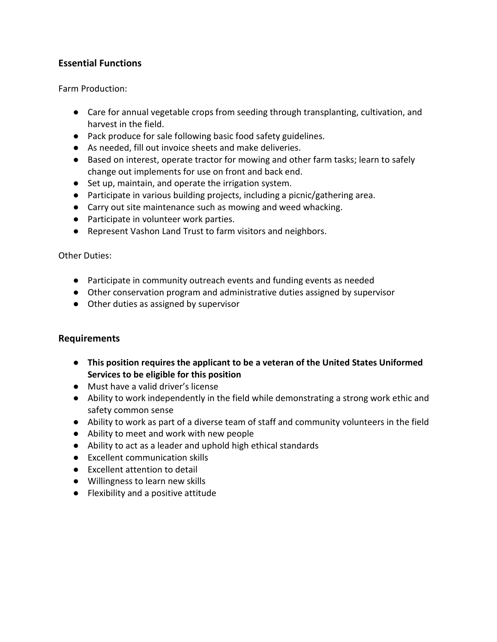## **Essential Functions**

Farm Production:

- Care for annual vegetable crops from seeding through transplanting, cultivation, and harvest in the field.
- Pack produce for sale following basic food safety guidelines.
- As needed, fill out invoice sheets and make deliveries.
- Based on interest, operate tractor for mowing and other farm tasks; learn to safely change out implements for use on front and back end.
- Set up, maintain, and operate the irrigation system.
- Participate in various building projects, including a picnic/gathering area.
- Carry out site maintenance such as mowing and weed whacking.
- Participate in volunteer work parties.
- Represent Vashon Land Trust to farm visitors and neighbors.

#### Other Duties:

- Participate in community outreach events and funding events as needed
- Other conservation program and administrative duties assigned by supervisor
- Other duties as assigned by supervisor

### **Requirements**

- **This position requires the applicant to be a veteran of the United States Uniformed Services to be eligible for this position**
- Must have a valid driver's license
- Ability to work independently in the field while demonstrating a strong work ethic and safety common sense
- Ability to work as part of a diverse team of staff and community volunteers in the field
- Ability to meet and work with new people
- Ability to act as a leader and uphold high ethical standards
- Excellent communication skills
- Excellent attention to detail
- Willingness to learn new skills
- Flexibility and a positive attitude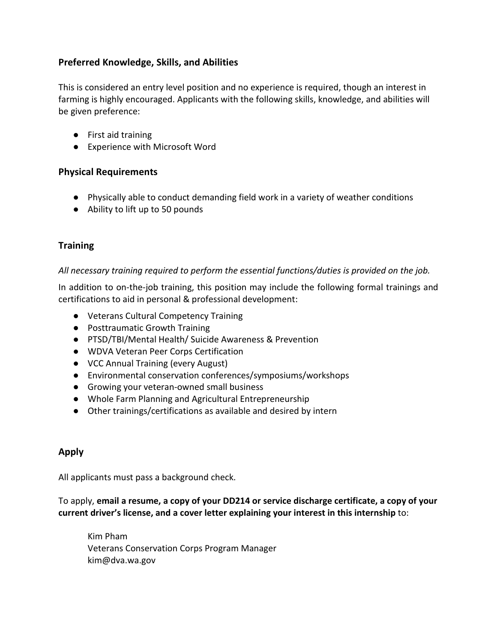## **Preferred Knowledge, Skills, and Abilities**

This is considered an entry level position and no experience is required, though an interest in farming is highly encouraged. Applicants with the following skills, knowledge, and abilities will be given preference:

- First aid training
- Experience with Microsoft Word

#### **Physical Requirements**

- Physically able to conduct demanding field work in a variety of weather conditions
- Ability to lift up to 50 pounds

## **Training**

#### *All necessary training required to perform the essential functions/duties is provided on the job.*

In addition to on-the-job training, this position may include the following formal trainings and certifications to aid in personal & professional development:

- Veterans Cultural Competency Training
- Posttraumatic Growth Training
- PTSD/TBI/Mental Health/ Suicide Awareness & Prevention
- WDVA Veteran Peer Corps Certification
- VCC Annual Training (every August)
- Environmental conservation conferences/symposiums/workshops
- Growing your veteran-owned small business
- Whole Farm Planning and Agricultural Entrepreneurship
- Other trainings/certifications as available and desired by intern

### **Apply**

All applicants must pass a background check.

To apply, **email a resume, a copy of your DD214 or service discharge certificate, a copy of your current driver's license, and a cover letter explaining your interest in this internship** to:

Kim Pham Veterans Conservation Corps Program Manager kim@dva.wa.gov